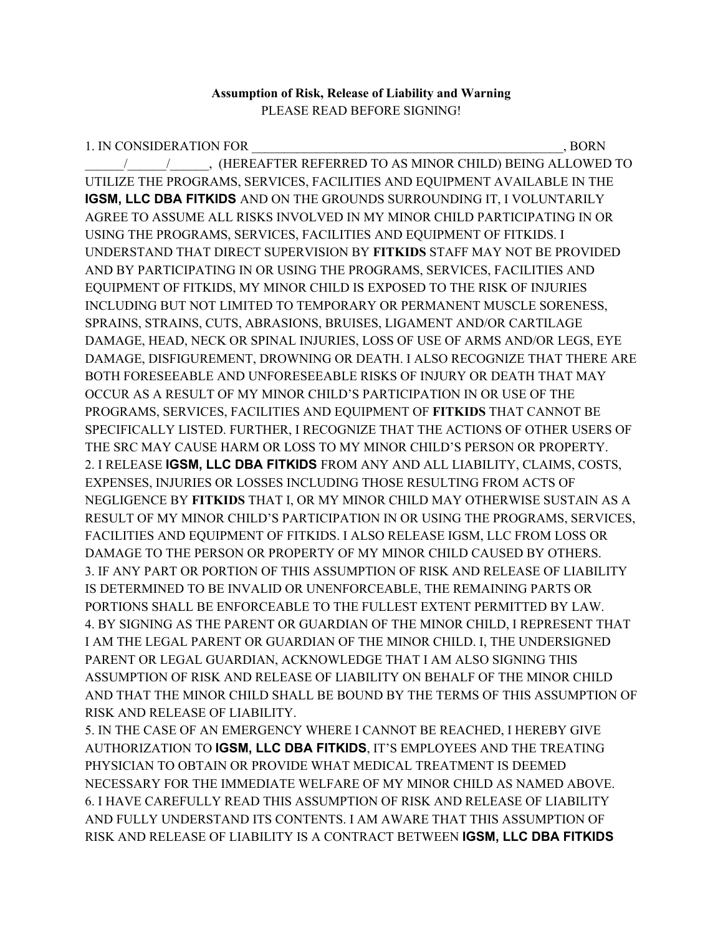## **Assumption of Risk, Release of Liability and Warning** PLEASE READ BEFORE SIGNING!

1. IN CONSIDERATION FOR THE RESERVE OF A SERIES OF A SERIES OF A SERIES OF A SERIES OF A SERIES OF A SERIES OF \_\_\_\_\_\_/\_\_\_\_\_\_/\_\_\_\_\_\_, (HEREAFTER REFERRED TO AS MINOR CHILD) BEING ALLOWED TO UTILIZE THE PROGRAMS, SERVICES, FACILITIES AND EQUIPMENT AVAILABLE IN THE **IGSM, LLC DBA FITKIDS** AND ON THE GROUNDS SURROUNDING IT, I VOLUNTARILY AGREE TO ASSUME ALL RISKS INVOLVED IN MY MINOR CHILD PARTICIPATING IN OR USING THE PROGRAMS, SERVICES, FACILITIES AND EQUIPMENT OF FITKIDS. I UNDERSTAND THAT DIRECT SUPERVISION BY **FITKIDS** STAFF MAY NOT BE PROVIDED AND BY PARTICIPATING IN OR USING THE PROGRAMS, SERVICES, FACILITIES AND EQUIPMENT OF FITKIDS, MY MINOR CHILD IS EXPOSED TO THE RISK OF INJURIES INCLUDING BUT NOT LIMITED TO TEMPORARY OR PERMANENT MUSCLE SORENESS, SPRAINS, STRAINS, CUTS, ABRASIONS, BRUISES, LIGAMENT AND/OR CARTILAGE DAMAGE, HEAD, NECK OR SPINAL INJURIES, LOSS OF USE OF ARMS AND/OR LEGS, EYE DAMAGE, DISFIGUREMENT, DROWNING OR DEATH. I ALSO RECOGNIZE THAT THERE ARE BOTH FORESEEABLE AND UNFORESEEABLE RISKS OF INJURY OR DEATH THAT MAY OCCUR AS A RESULT OF MY MINOR CHILD'S PARTICIPATION IN OR USE OF THE PROGRAMS, SERVICES, FACILITIES AND EQUIPMENT OF **FITKIDS** THAT CANNOT BE SPECIFICALLY LISTED. FURTHER, I RECOGNIZE THAT THE ACTIONS OF OTHER USERS OF THE SRC MAY CAUSE HARM OR LOSS TO MY MINOR CHILD'S PERSON OR PROPERTY. 2. I RELEASE **IGSM, LLC DBA FITKIDS** FROM ANY AND ALL LIABILITY, CLAIMS, COSTS, EXPENSES, INJURIES OR LOSSES INCLUDING THOSE RESULTING FROM ACTS OF NEGLIGENCE BY **FITKIDS** THAT I, OR MY MINOR CHILD MAY OTHERWISE SUSTAIN AS A RESULT OF MY MINOR CHILD'S PARTICIPATION IN OR USING THE PROGRAMS, SERVICES, FACILITIES AND EQUIPMENT OF FITKIDS. I ALSO RELEASE IGSM, LLC FROM LOSS OR DAMAGE TO THE PERSON OR PROPERTY OF MY MINOR CHILD CAUSED BY OTHERS. 3. IF ANY PART OR PORTION OF THIS ASSUMPTION OF RISK AND RELEASE OF LIABILITY IS DETERMINED TO BE INVALID OR UNENFORCEABLE, THE REMAINING PARTS OR PORTIONS SHALL BE ENFORCEABLE TO THE FULLEST EXTENT PERMITTED BY LAW. 4. BY SIGNING AS THE PARENT OR GUARDIAN OF THE MINOR CHILD, I REPRESENT THAT I AM THE LEGAL PARENT OR GUARDIAN OF THE MINOR CHILD. I, THE UNDERSIGNED PARENT OR LEGAL GUARDIAN, ACKNOWLEDGE THAT I AM ALSO SIGNING THIS ASSUMPTION OF RISK AND RELEASE OF LIABILITY ON BEHALF OF THE MINOR CHILD AND THAT THE MINOR CHILD SHALL BE BOUND BY THE TERMS OF THIS ASSUMPTION OF RISK AND RELEASE OF LIABILITY.

5. IN THE CASE OF AN EMERGENCY WHERE I CANNOT BE REACHED, I HEREBY GIVE AUTHORIZATION TO **IGSM, LLC DBA FITKIDS**, IT'S EMPLOYEES AND THE TREATING PHYSICIAN TO OBTAIN OR PROVIDE WHAT MEDICAL TREATMENT IS DEEMED NECESSARY FOR THE IMMEDIATE WELFARE OF MY MINOR CHILD AS NAMED ABOVE. 6. I HAVE CAREFULLY READ THIS ASSUMPTION OF RISK AND RELEASE OF LIABILITY AND FULLY UNDERSTAND ITS CONTENTS. I AM AWARE THAT THIS ASSUMPTION OF RISK AND RELEASE OF LIABILITY IS A CONTRACT BETWEEN **IGSM, LLC DBA FITKIDS**